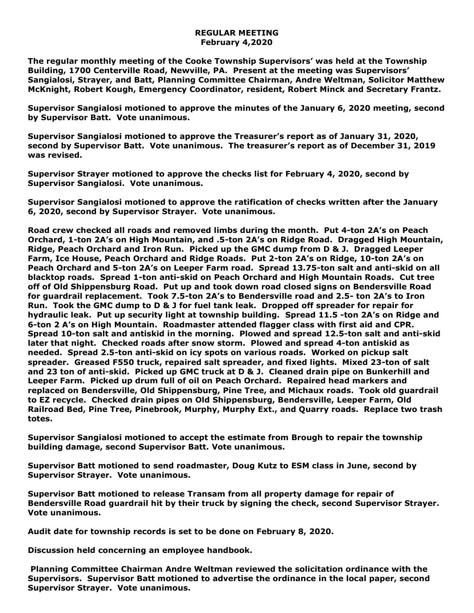## **REGULAR MEETING February 4,2020**

**The regular monthly meeting of the Cooke Township Supervisors' was held at the Township Building, 1700 Centerville Road, Newville, PA. Present at the meeting was Supervisors' Sangialosi, Strayer, and Batt, Planning Committee Chairman, Andre Weltman, Solicitor Matthew McKnight, Robert Kough, Emergency Coordinator, resident, Robert Minck and Secretary Frantz.** 

**Supervisor Sangialosi motioned to approve the minutes of the January 6, 2020 meeting, second by Supervisor Batt. Vote unanimous.** 

**Supervisor Sangialosi motioned to approve the Treasurer's report as of January 31, 2020, second by Supervisor Batt. Vote unanimous. The treasurer's report as of December 31, 2019 was revised.**

**Supervisor Strayer motioned to approve the checks list for February 4, 2020, second by Supervisor Sangialosi. Vote unanimous.**

**Supervisor Sangialosi motioned to approve the ratification of checks written after the January 6, 2020, second by Supervisor Strayer. Vote unanimous.**

**Road crew checked all roads and removed limbs during the month. Put 4-ton 2A's on Peach Orchard, 1-ton 2A's on High Mountain, and .5-ton 2A's on Ridge Road. Dragged High Mountain, Ridge, Peach Orchard and Iron Run. Picked up the GMC dump from D & J. Dragged Leeper Farm, Ice House, Peach Orchard and Ridge Roads. Put 2-ton 2A's on Ridge, 10-ton 2A's on Peach Orchard and 5-ton 2A's on Leeper Farm road. Spread 13.75-ton salt and anti-skid on all blacktop roads. Spread 1-ton anti-skid on Peach Orchard and High Mountain Roads. Cut tree off of Old Shippensburg Road. Put up and took down road closed signs on Bendersville Road for guardrail replacement. Took 7.5-ton 2A's to Bendersville road and 2.5- ton 2A's to Iron Run. Took the GMC dump to D & J for fuel tank leak. Dropped off spreader for repair for hydraulic leak. Put up security light at township building. Spread 11.5 -ton 2A's on Ridge and 6-ton 2 A's on High Mountain. Roadmaster attended flagger class with first aid and CPR. Spread 10-ton salt and antiskid in the morning. Plowed and spread 12.5-ton salt and anti-skid later that night. Checked roads after snow storm. Plowed and spread 4-ton antiskid as needed. Spread 2.5-ton anti-skid on icy spots on various roads. Worked on pickup salt spreader. Greased F550 truck, repaired salt spreader, and fixed lights. Mixed 23-ton of salt and 23 ton of anti-skid. Picked up GMC truck at D & J. Cleaned drain pipe on Bunkerhill and Leeper Farm. Picked up drum full of oil on Peach Orchard. Repaired head markers and replaced on Bendersville, Old Shippensburg, Pine Tree, and Michaux roads. Took old guardrail to EZ recycle. Checked drain pipes on Old Shippensburg, Bendersville, Leeper Farm, Old Railroad Bed, Pine Tree, Pinebrook, Murphy, Murphy Ext., and Quarry roads. Replace two trash totes.**

**Supervisor Sangialosi motioned to accept the estimate from Brough to repair the township building damage, second Supervisor Batt. Vote unanimous.** 

**Supervisor Batt motioned to send roadmaster, Doug Kutz to ESM class in June, second by Supervisor Strayer. Vote unanimous.**

**Supervisor Batt motioned to release Transam from all property damage for repair of Bendersville Road guardrail hit by their truck by signing the check, second Supervisor Strayer. Vote unanimous.**

**Audit date for township records is set to be done on February 8, 2020.**

**Discussion held concerning an employee handbook.**

**Planning Committee Chairman Andre Weltman reviewed the solicitation ordinance with the Supervisors. Supervisor Batt motioned to advertise the ordinance in the local paper, second Supervisor Strayer. Vote unanimous.**